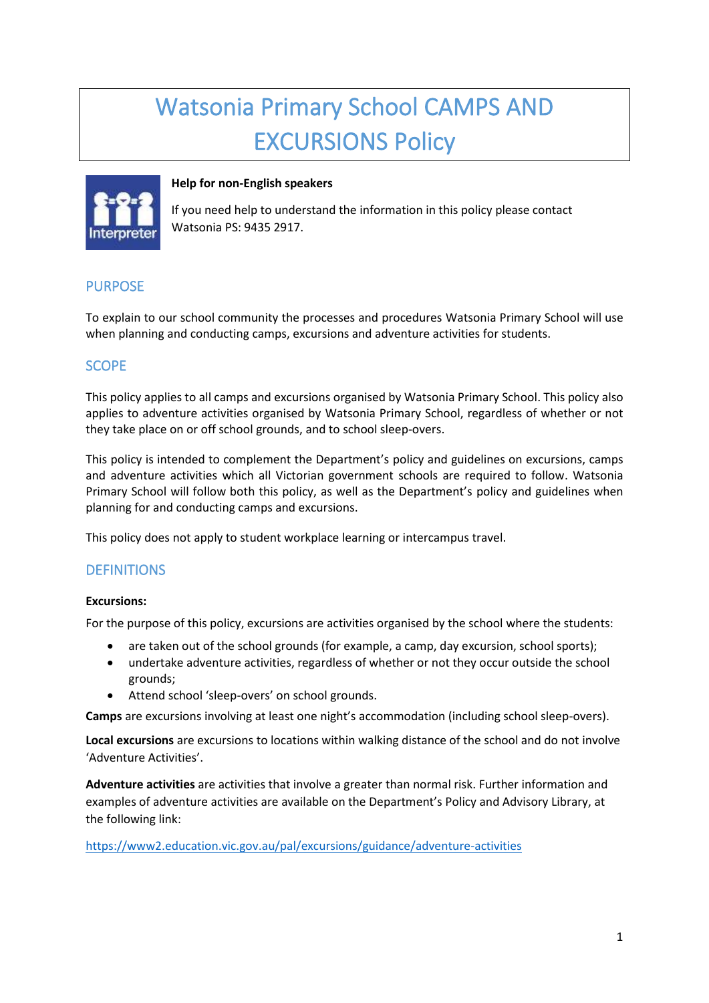# Watsonia Primary School CAMPS AND EXCURSIONS Policy



## **Help for non-English speakers**

If you need help to understand the information in this policy please contact Watsonia PS: 9435 2917.

# PURPOSE

To explain to our school community the processes and procedures Watsonia Primary School will use when planning and conducting camps, excursions and adventure activities for students.

## SCOPE

This policy applies to all camps and excursions organised by Watsonia Primary School. This policy also applies to adventure activities organised by Watsonia Primary School, regardless of whether or not they take place on or off school grounds, and to school sleep-overs.

This policy is intended to complement the Department's policy and guidelines on excursions, camps and adventure activities which all Victorian government schools are required to follow. Watsonia Primary School will follow both this policy, as well as the Department's policy and guidelines when planning for and conducting camps and excursions.

This policy does not apply to student workplace learning or intercampus travel.

## **DEFINITIONS**

## **Excursions:**

For the purpose of this policy, excursions are activities organised by the school where the students:

- are taken out of the school grounds (for example, a camp, day excursion, school sports);
- undertake adventure activities, regardless of whether or not they occur outside the school grounds;
- Attend school 'sleep-overs' on school grounds.

**Camps** are excursions involving at least one night's accommodation (including school sleep-overs).

**Local excursions** are excursions to locations within walking distance of the school and do not involve 'Adventure Activities'.

**Adventure activities** are activities that involve a greater than normal risk. Further information and examples of adventure activities are available on the Department's Policy and Advisory Library, at the following link:

<https://www2.education.vic.gov.au/pal/excursions/guidance/adventure-activities>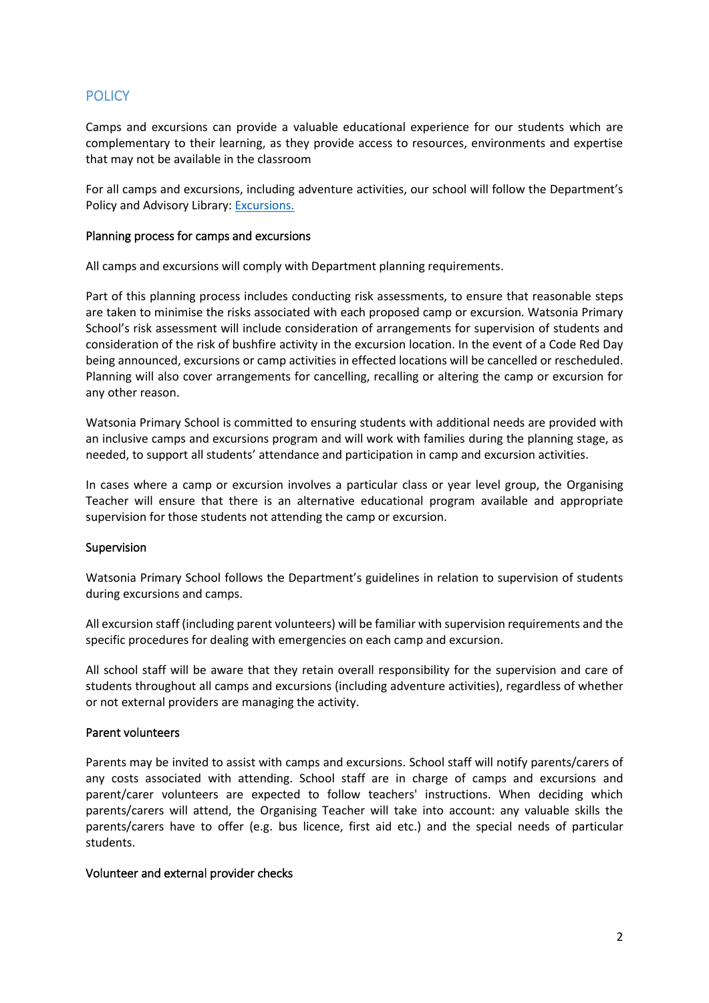# **POLICY**

Camps and excursions can provide a valuable educational experience for our students which are complementary to their learning, as they provide access to resources, environments and expertise that may not be available in the classroom

For all camps and excursions, including adventure activities, our school will follow the Department's Policy and Advisory Library: [Excursions.](https://www2.education.vic.gov.au/pal/excursions/policy)

#### Planning process for camps and excursions

All camps and excursions will comply with Department planning requirements.

Part of this planning process includes conducting risk assessments, to ensure that reasonable steps are taken to minimise the risks associated with each proposed camp or excursion. Watsonia Primary School's risk assessment will include consideration of arrangements for supervision of students and consideration of the risk of bushfire activity in the excursion location. In the event of a Code Red Day being announced, excursions or camp activities in effected locations will be cancelled or rescheduled. Planning will also cover arrangements for cancelling, recalling or altering the camp or excursion for any other reason.

Watsonia Primary School is committed to ensuring students with additional needs are provided with an inclusive camps and excursions program and will work with families during the planning stage, as needed, to support all students' attendance and participation in camp and excursion activities.

In cases where a camp or excursion involves a particular class or year level group, the Organising Teacher will ensure that there is an alternative educational program available and appropriate supervision for those students not attending the camp or excursion.

#### Supervision

Watsonia Primary School follows the Department's guidelines in relation to supervision of students during excursions and camps.

All excursion staff (including parent volunteers) will be familiar with supervision requirements and the specific procedures for dealing with emergencies on each camp and excursion.

All school staff will be aware that they retain overall responsibility for the supervision and care of students throughout all camps and excursions (including adventure activities), regardless of whether or not external providers are managing the activity.

#### Parent volunteers

Parents may be invited to assist with camps and excursions. School staff will notify parents/carers of any costs associated with attending. School staff are in charge of camps and excursions and parent/carer volunteers are expected to follow teachers' instructions. When deciding which parents/carers will attend, the Organising Teacher will take into account: any valuable skills the parents/carers have to offer (e.g. bus licence, first aid etc.) and the special needs of particular students.

#### Volunteer and external provider checks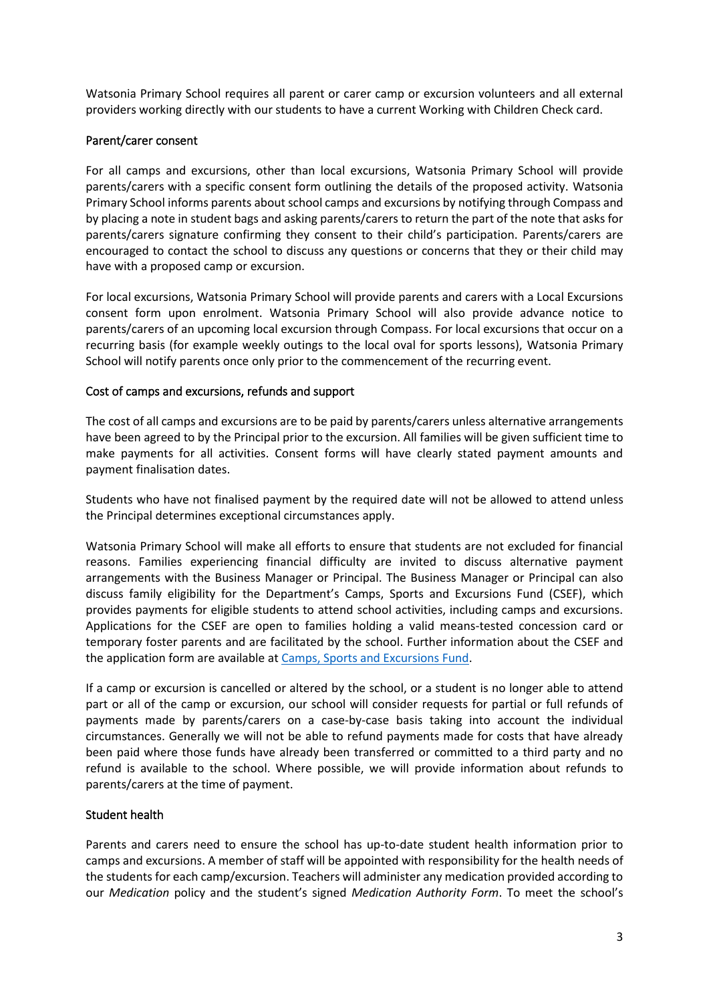Watsonia Primary School requires all parent or carer camp or excursion volunteers and all external providers working directly with our students to have a current Working with Children Check card.

#### Parent/carer consent

For all camps and excursions, other than local excursions, Watsonia Primary School will provide parents/carers with a specific consent form outlining the details of the proposed activity. Watsonia Primary School informs parents about school camps and excursions by notifying through Compass and by placing a note in student bags and asking parents/carers to return the part of the note that asks for parents/carers signature confirming they consent to their child's participation. Parents/carers are encouraged to contact the school to discuss any questions or concerns that they or their child may have with a proposed camp or excursion.

For local excursions, Watsonia Primary School will provide parents and carers with a Local Excursions consent form upon enrolment. Watsonia Primary School will also provide advance notice to parents/carers of an upcoming local excursion through Compass. For local excursions that occur on a recurring basis (for example weekly outings to the local oval for sports lessons), Watsonia Primary School will notify parents once only prior to the commencement of the recurring event.

#### Cost of camps and excursions, refunds and support

The cost of all camps and excursions are to be paid by parents/carers unless alternative arrangements have been agreed to by the Principal prior to the excursion. All families will be given sufficient time to make payments for all activities. Consent forms will have clearly stated payment amounts and payment finalisation dates.

Students who have not finalised payment by the required date will not be allowed to attend unless the Principal determines exceptional circumstances apply.

Watsonia Primary School will make all efforts to ensure that students are not excluded for financial reasons. Families experiencing financial difficulty are invited to discuss alternative payment arrangements with the Business Manager or Principal. The Business Manager or Principal can also discuss family eligibility for the Department's Camps, Sports and Excursions Fund (CSEF), which provides payments for eligible students to attend school activities, including camps and excursions. Applications for the CSEF are open to families holding a valid means-tested concession card or temporary foster parents and are facilitated by the school. Further information about the CSEF and the application form are available a[t Camps, Sports and Excursions Fund.](https://www2.education.vic.gov.au/pal/camps-sports-and-excursions-fund/policy)

If a camp or excursion is cancelled or altered by the school, or a student is no longer able to attend part or all of the camp or excursion, our school will consider requests for partial or full refunds of payments made by parents/carers on a case-by-case basis taking into account the individual circumstances. Generally we will not be able to refund payments made for costs that have already been paid where those funds have already been transferred or committed to a third party and no refund is available to the school. Where possible, we will provide information about refunds to parents/carers at the time of payment.

#### Student health

Parents and carers need to ensure the school has up-to-date student health information prior to camps and excursions. A member of staff will be appointed with responsibility for the health needs of the students for each camp/excursion. Teachers will administer any medication provided according to our *Medication* policy and the student's signed *Medication Authority Form*. To meet the school's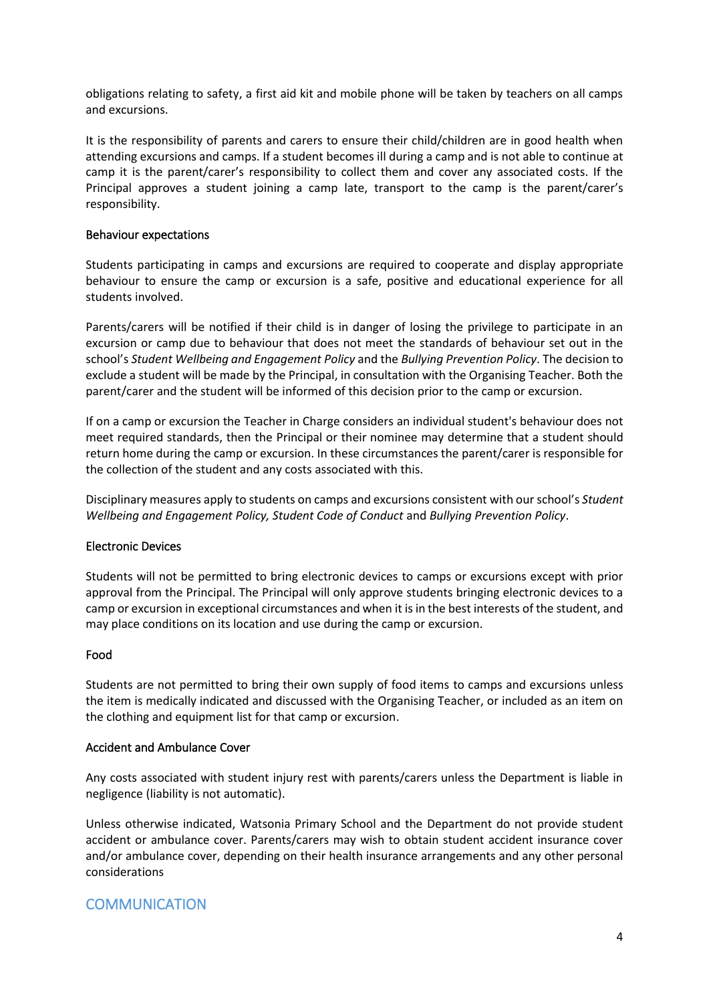obligations relating to safety, a first aid kit and mobile phone will be taken by teachers on all camps and excursions.

It is the responsibility of parents and carers to ensure their child/children are in good health when attending excursions and camps. If a student becomes ill during a camp and is not able to continue at camp it is the parent/carer's responsibility to collect them and cover any associated costs. If the Principal approves a student joining a camp late, transport to the camp is the parent/carer's responsibility.

#### Behaviour expectations

Students participating in camps and excursions are required to cooperate and display appropriate behaviour to ensure the camp or excursion is a safe, positive and educational experience for all students involved.

Parents/carers will be notified if their child is in danger of losing the privilege to participate in an excursion or camp due to behaviour that does not meet the standards of behaviour set out in the school's *Student Wellbeing and Engagement Policy* and the *Bullying Prevention Policy*. The decision to exclude a student will be made by the Principal, in consultation with the Organising Teacher. Both the parent/carer and the student will be informed of this decision prior to the camp or excursion.

If on a camp or excursion the Teacher in Charge considers an individual student's behaviour does not meet required standards, then the Principal or their nominee may determine that a student should return home during the camp or excursion. In these circumstances the parent/carer is responsible for the collection of the student and any costs associated with this.

Disciplinary measures apply to students on camps and excursions consistent with our school's *Student Wellbeing and Engagement Policy, Student Code of Conduct* and *Bullying Prevention Policy*.

#### Electronic Devices

Students will not be permitted to bring electronic devices to camps or excursions except with prior approval from the Principal. The Principal will only approve students bringing electronic devices to a camp or excursion in exceptional circumstances and when it is in the best interests of the student, and may place conditions on its location and use during the camp or excursion.

#### Food

Students are not permitted to bring their own supply of food items to camps and excursions unless the item is medically indicated and discussed with the Organising Teacher, or included as an item on the clothing and equipment list for that camp or excursion.

#### Accident and Ambulance Cover

Any costs associated with student injury rest with parents/carers unless the Department is liable in negligence (liability is not automatic).

Unless otherwise indicated, Watsonia Primary School and the Department do not provide student accident or ambulance cover. Parents/carers may wish to obtain student accident insurance cover and/or ambulance cover, depending on their health insurance arrangements and any other personal considerations

## **COMMUNICATION**